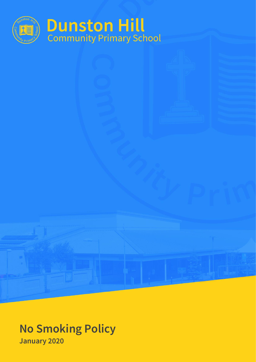

# **No Smoking Policy January 2020**